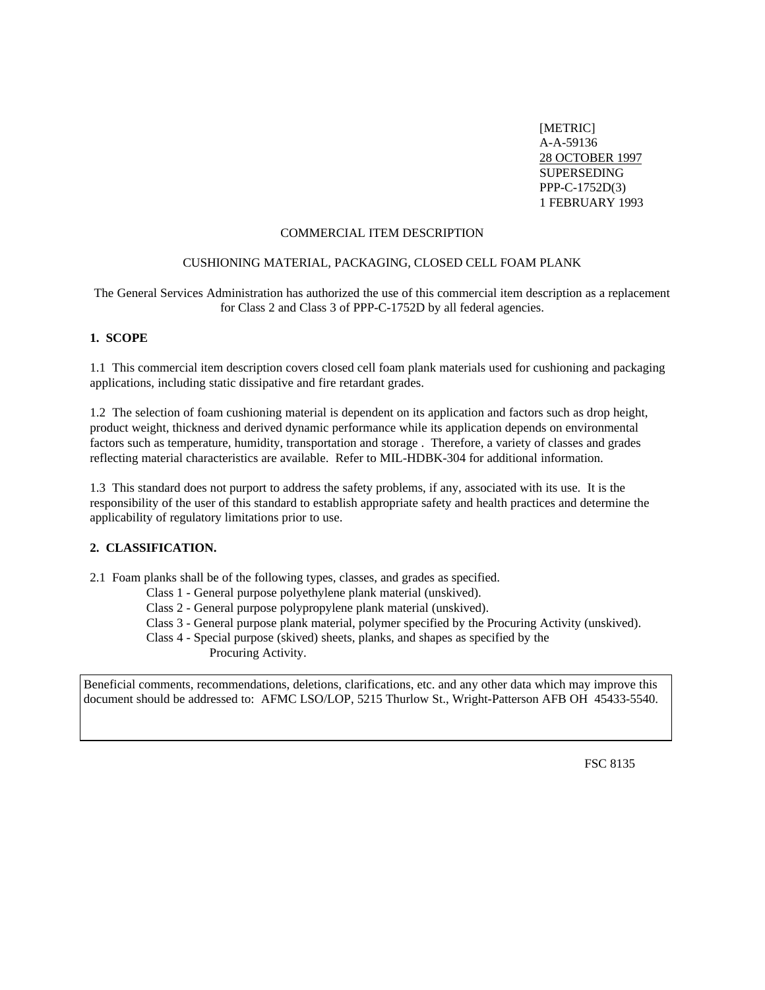[METRIC] A-A-59136 28 OCTOBER 1997 SUPERSEDING PPP-C-1752D(3) 1 FEBRUARY 1993

#### COMMERCIAL ITEM DESCRIPTION

#### CUSHIONING MATERIAL, PACKAGING, CLOSED CELL FOAM PLANK

The General Services Administration has authorized the use of this commercial item description as a replacement for Class 2 and Class 3 of PPP-C-1752D by all federal agencies.

## **1. SCOPE**

1.1 This commercial item description covers closed cell foam plank materials used for cushioning and packaging applications, including static dissipative and fire retardant grades.

1.2 The selection of foam cushioning material is dependent on its application and factors such as drop height, product weight, thickness and derived dynamic performance while its application depends on environmental factors such as temperature, humidity, transportation and storage . Therefore, a variety of classes and grades reflecting material characteristics are available. Refer to MIL-HDBK-304 for additional information.

1.3 This standard does not purport to address the safety problems, if any, associated with its use. It is the responsibility of the user of this standard to establish appropriate safety and health practices and determine the applicability of regulatory limitations prior to use.

### **2. CLASSIFICATION.**

2.1 Foam planks shall be of the following types, classes, and grades as specified.

- Class 1 General purpose polyethylene plank material (unskived).
- Class 2 General purpose polypropylene plank material (unskived).
- Class 3 General purpose plank material, polymer specified by the Procuring Activity (unskived).
- Class 4 Special purpose (skived) sheets, planks, and shapes as specified by the Procuring Activity.

Beneficial comments, recommendations, deletions, clarifications, etc. and any other data which may improve this document should be addressed to: AFMC LSO/LOP, 5215 Thurlow St., Wright-Patterson AFB OH 45433-5540.

FSC 8135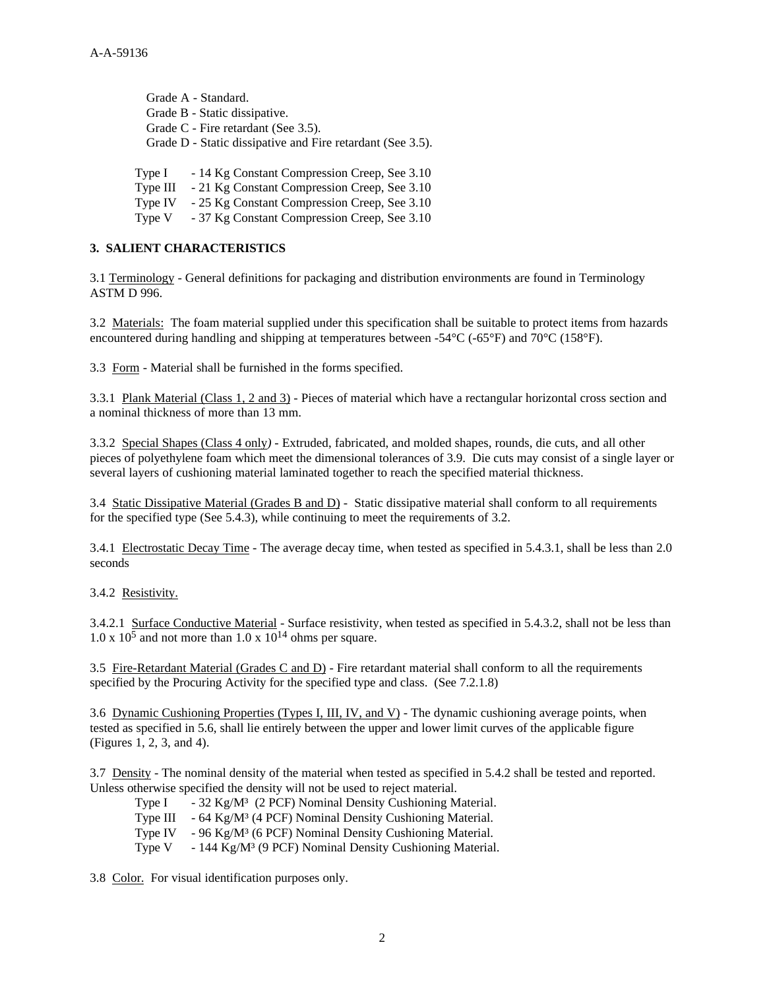Grade A - Standard. Grade B - Static dissipative. Grade C - Fire retardant (See 3.5). Grade D - Static dissipative and Fire retardant (See 3.5).

Type I - 14 Kg Constant Compression Creep, See 3.10

Type III - 21 Kg Constant Compression Creep, See 3.10

Type IV - 25 Kg Constant Compression Creep, See 3.10

Type V - 37 Kg Constant Compression Creep, See 3.10

## **3. SALIENT CHARACTERISTICS**

3.1 Terminology - General definitions for packaging and distribution environments are found in Terminology ASTM D 996.

3.2 Materials: The foam material supplied under this specification shall be suitable to protect items from hazards encountered during handling and shipping at temperatures between -54°C (-65°F) and 70°C (158°F).

3.3 Form *-* Material shall be furnished in the forms specified.

3.3.1 Plank Material (Class 1, 2 and 3) - Pieces of material which have a rectangular horizontal cross section and a nominal thickness of more than 13 mm.

3.3.2 Special Shapes (Class 4 only*)* - Extruded, fabricated, and molded shapes, rounds, die cuts, and all other pieces of polyethylene foam which meet the dimensional tolerances of 3.9. Die cuts may consist of a single layer or several layers of cushioning material laminated together to reach the specified material thickness.

3.4 Static Dissipative Material (Grades B and D) -Static dissipative material shall conform to all requirements for the specified type (See 5.4.3), while continuing to meet the requirements of 3.2.

3.4.1 Electrostatic Decay Time *-* The average decay time, when tested as specified in 5.4.3.1, shall be less than 2.0 seconds

3.4.2 Resistivity.

3.4.2.1 Surface Conductive Material - Surface resistivity, when tested as specified in 5.4.3.2, shall not be less than  $1.0 \times 10^5$  and not more than  $1.0 \times 10^{14}$  ohms per square.

3.5 Fire-Retardant Material (Grades C and D) *-* Fire retardant material shall conform to all the requirements specified by the Procuring Activity for the specified type and class. (See 7.2.1.8)

3.6 Dynamic Cushioning Properties (Types I, III, IV, and V) *-* The dynamic cushioning average points, when tested as specified in 5.6, shall lie entirely between the upper and lower limit curves of the applicable figure (Figures 1, 2, 3, and 4).

3.7 Density *-* The nominal density of the material when tested as specified in 5.4.2 shall be tested and reported. Unless otherwise specified the density will not be used to reject material.

Type I - 32 Kg/M<sup>3</sup> (2 PCF) Nominal Density Cushioning Material. Type III - 64 Kg/M³ (4 PCF) Nominal Density Cushioning Material. Type IV - 96 Kg/M³ (6 PCF) Nominal Density Cushioning Material. Type V - 144 Kg/M<sup>3</sup> (9 PCF) Nominal Density Cushioning Material.

3.8 Color. For visual identification purposes only.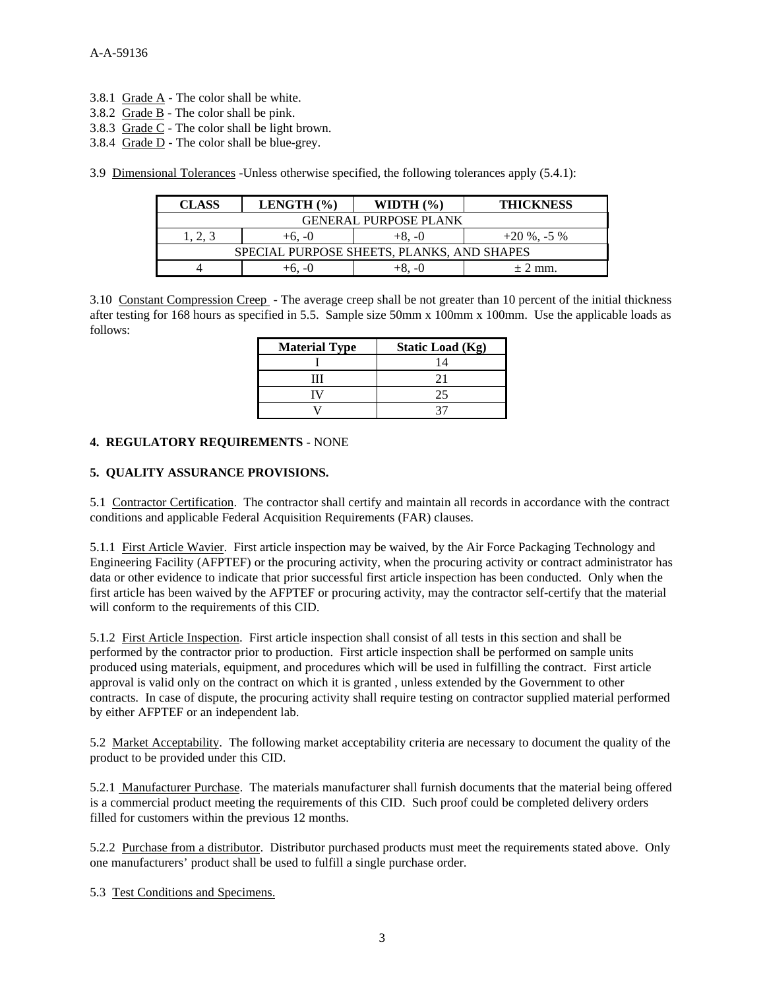- 3.8.1 Grade A *-* The color shall be white.
- 3.8.2 Grade BThe color shall be pink.
- 3.8.3 Grade C *-* The color shall be light brown.
- 3.8.4 Grade D *-* The color shall be blue-grey.

3.9 Dimensional Tolerances -Unless otherwise specified, the following tolerances apply (5.4.1):

| <b>CLASS</b>                               | LENGTH $(\% )$ | WIDTH $(\% )$ | <b>THICKNESS</b> |  |  |
|--------------------------------------------|----------------|---------------|------------------|--|--|
| <b>GENERAL PURPOSE PLANK</b>               |                |               |                  |  |  |
| 1.2.3                                      | $+6, -0$       | $+8. -0$      | $+20\%$ , -5 %   |  |  |
| SPECIAL PURPOSE SHEETS, PLANKS, AND SHAPES |                |               |                  |  |  |
|                                            | ∔რ. -Ω         |               | $\pm$ 2 mm.      |  |  |

3.10 Constant Compression Creep - The average creep shall be not greater than 10 percent of the initial thickness after testing for 168 hours as specified in 5.5. Sample size 50mm x 100mm x 100mm. Use the applicable loads as follows:

| <b>Material Type</b> | <b>Static Load (Kg)</b> |
|----------------------|-------------------------|
|                      | 14                      |
|                      |                         |
|                      | 25                      |
|                      |                         |

### **4. REGULATORY REQUIREMENTS** - NONE

### **5. QUALITY ASSURANCE PROVISIONS.**

5.1 Contractor Certification. The contractor shall certify and maintain all records in accordance with the contract conditions and applicable Federal Acquisition Requirements (FAR) clauses.

5.1.1 First Article Wavier. First article inspection may be waived, by the Air Force Packaging Technology and Engineering Facility (AFPTEF) or the procuring activity, when the procuring activity or contract administrator has data or other evidence to indicate that prior successful first article inspection has been conducted. Only when the first article has been waived by the AFPTEF or procuring activity, may the contractor self-certify that the material will conform to the requirements of this CID.

5.1.2 First Article Inspection. First article inspection shall consist of all tests in this section and shall be performed by the contractor prior to production. First article inspection shall be performed on sample units produced using materials, equipment, and procedures which will be used in fulfilling the contract. First article approval is valid only on the contract on which it is granted , unless extended by the Government to other contracts. In case of dispute, the procuring activity shall require testing on contractor supplied material performed by either AFPTEF or an independent lab.

5.2 Market Acceptability. The following market acceptability criteria are necessary to document the quality of the product to be provided under this CID.

5.2.1 Manufacturer Purchase. The materials manufacturer shall furnish documents that the material being offered is a commercial product meeting the requirements of this CID. Such proof could be completed delivery orders filled for customers within the previous 12 months.

5.2.2 Purchase from a distributor. Distributor purchased products must meet the requirements stated above. Only one manufacturers' product shall be used to fulfill a single purchase order.

5.3 Test Conditions and Specimens.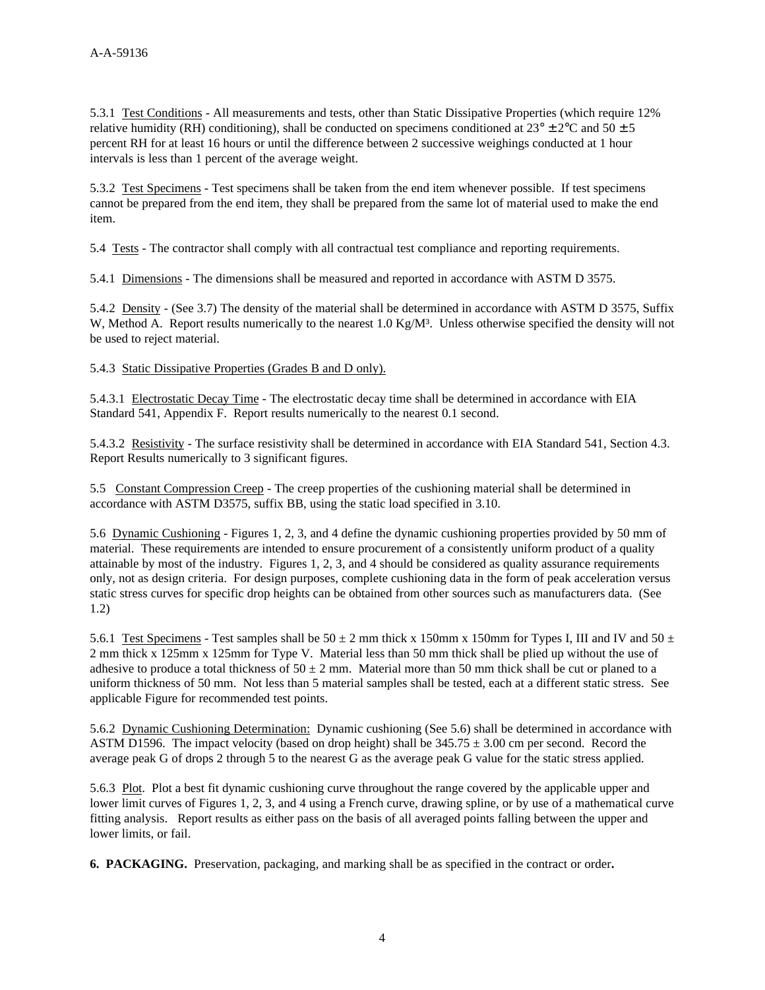5.3.1 Test Conditions - All measurements and tests, other than Static Dissipative Properties (which require 12% relative humidity (RH) conditioning), shall be conducted on specimens conditioned at  $23^{\circ} \pm 2^{\circ}$ C and  $50 \pm 5$ percent RH for at least 16 hours or until the difference between 2 successive weighings conducted at 1 hour intervals is less than 1 percent of the average weight.

5.3.2 Test Specimens - Test specimens shall be taken from the end item whenever possible. If test specimens cannot be prepared from the end item, they shall be prepared from the same lot of material used to make the end item.

5.4 Tests - The contractor shall comply with all contractual test compliance and reporting requirements.

5.4.1 Dimensions *-* The dimensions shall be measured and reported in accordance with ASTM D 3575.

5.4.2 Density *-* (See 3.7) The density of the material shall be determined in accordance with ASTM D 3575, Suffix W, Method A. Report results numerically to the nearest 1.0 Kg/M<sup>3</sup>. Unless otherwise specified the density will not be used to reject material.

5.4.3 Static Dissipative Properties (Grades B and D only).

5.4.3.1 Electrostatic Decay Time *-* The electrostatic decay time shall be determined in accordance with EIA Standard 541, Appendix F. Report results numerically to the nearest 0.1 second.

5.4.3.2 Resistivity *-* The surface resistivity shall be determined in accordance with EIA Standard 541, Section 4.3. Report Results numerically to 3 significant figures.

5.5 Constant Compression Creep - The creep properties of the cushioning material shall be determined in accordance with ASTM D3575, suffix BB, using the static load specified in 3.10.

5.6 Dynamic Cushioning *-* Figures 1, 2, 3, and 4 define the dynamic cushioning properties provided by 50 mm of material. These requirements are intended to ensure procurement of a consistently uniform product of a quality attainable by most of the industry. Figures 1, 2, 3, and 4 should be considered as quality assurance requirements only, not as design criteria. For design purposes, complete cushioning data in the form of peak acceleration versus static stress curves for specific drop heights can be obtained from other sources such as manufacturers data. (See 1.2)

5.6.1 Test Specimens - Test samples shall be  $50 \pm 2$  mm thick x 150mm x 150mm for Types I, III and IV and  $50 \pm 1$ 2 mm thick x 125mm x 125mm for Type V. Material less than 50 mm thick shall be plied up without the use of adhesive to produce a total thickness of  $50 \pm 2$  mm. Material more than 50 mm thick shall be cut or planed to a uniform thickness of 50 mm. Not less than 5 material samples shall be tested, each at a different static stress. See applicable Figure for recommended test points.

5.6.2 Dynamic Cushioning Determination: Dynamic cushioning (See 5.6) shall be determined in accordance with ASTM D1596. The impact velocity (based on drop height) shall be  $345.75 \pm 3.00$  cm per second. Record the average peak G of drops 2 through 5 to the nearest G as the average peak G value for the static stress applied.

5.6.3 Plot. Plot a best fit dynamic cushioning curve throughout the range covered by the applicable upper and lower limit curves of Figures 1, 2, 3, and 4 using a French curve, drawing spline, or by use of a mathematical curve fitting analysis. Report results as either pass on the basis of all averaged points falling between the upper and lower limits, or fail.

**6. PACKAGING.** Preservation, packaging, and marking shall be as specified in the contract or order**.**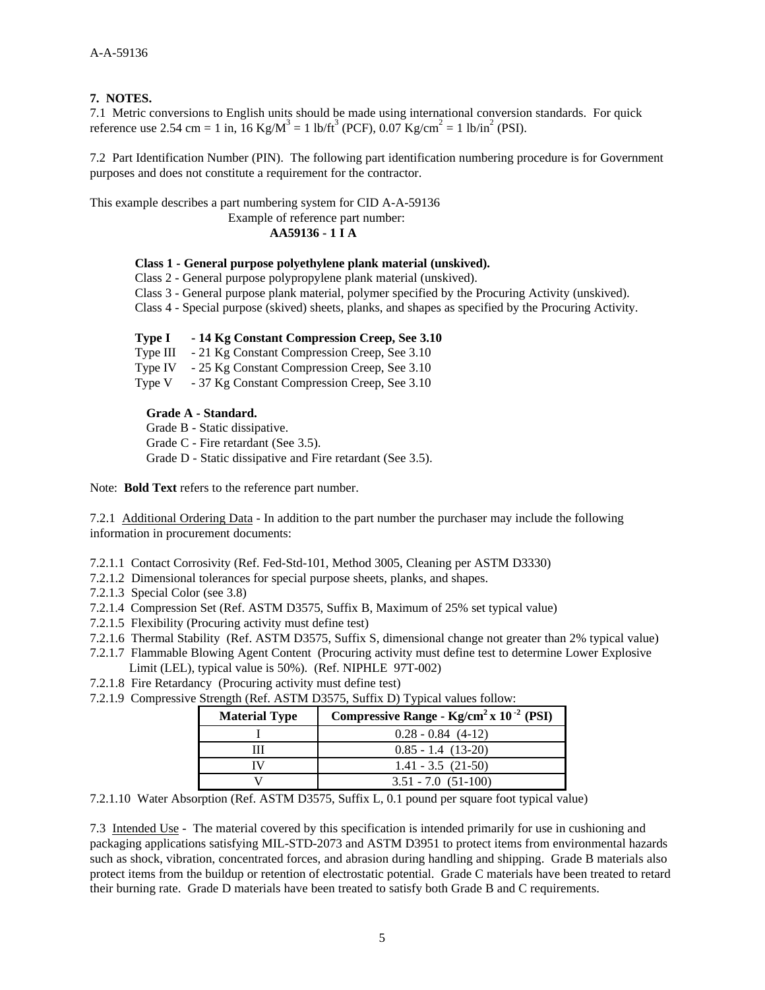### **7. NOTES.**

7.1 Metric conversions to English units should be made using international conversion standards. For quick reference use 2.54 cm = 1 in,  $16 \text{ Kg/M}^3 = 1 \text{ lb/ft}^3$  (PCF),  $0.07 \text{ Kg/cm}^2 = 1 \text{ lb/in}^2$  (PSI).

7.2 Part Identification Number (PIN). The following part identification numbering procedure is for Government purposes and does not constitute a requirement for the contractor.

This example describes a part numbering system for CID A-A-59136 Example of reference part number:

**AA59136 - 1 I A**

### **Class 1 - General purpose polyethylene plank material (unskived).**

Class 2 - General purpose polypropylene plank material (unskived).

Class 3 - General purpose plank material, polymer specified by the Procuring Activity (unskived).

Class 4 - Special purpose (skived) sheets, planks, and shapes as specified by the Procuring Activity.

### **Type I - 14 Kg Constant Compression Creep, See 3.10**

Type III - 21 Kg Constant Compression Creep, See 3.10

Type IV - 25 Kg Constant Compression Creep, See 3.10

Type V - 37 Kg Constant Compression Creep, See 3.10

### **Grade A - Standard.**

Grade B - Static dissipative. Grade C - Fire retardant (See 3.5). Grade D - Static dissipative and Fire retardant (See 3.5).

Note: **Bold Text** refers to the reference part number.

7.2.1 Additional Ordering Data - In addition to the part number the purchaser may include the following information in procurement documents:

- 7.2.1.1 Contact Corrosivity (Ref. Fed-Std-101, Method 3005, Cleaning per ASTM D3330)
- 7.2.1.2 Dimensional tolerances for special purpose sheets, planks, and shapes.
- 7.2.1.3 Special Color (see 3.8)
- 7.2.1.4 Compression Set (Ref. ASTM D3575, Suffix B, Maximum of 25% set typical value)
- 7.2.1.5 Flexibility (Procuring activity must define test)
- 7.2.1.6 Thermal Stability (Ref. ASTM D3575, Suffix S, dimensional change not greater than 2% typical value)
- 7.2.1.7 Flammable Blowing Agent Content (Procuring activity must define test to determine Lower Explosive
- Limit (LEL), typical value is 50%). (Ref. NIPHLE 97T-002)
- 7.2.1.8 Fire Retardancy (Procuring activity must define test)
- 7.2.1.9 Compressive Strength (Ref. ASTM D3575, Suffix D) Typical values follow:

| <b>Material Type</b> | Compressive Range - $Kg/cm2 x 10-2 (PSI)$ |
|----------------------|-------------------------------------------|
|                      | $0.28 - 0.84$ (4-12)                      |
|                      | $0.85 - 1.4$ (13-20)                      |
|                      | $1.41 - 3.5$ (21-50)                      |
|                      | $3.51 - 7.0$ $(51-100)$                   |

7.2.1.10 Water Absorption (Ref. ASTM D3575, Suffix L, 0.1 pound per square foot typical value)

7.3 Intended Use - The material covered by this specification is intended primarily for use in cushioning and packaging applications satisfying MIL-STD-2073 and ASTM D3951 to protect items from environmental hazards such as shock, vibration, concentrated forces, and abrasion during handling and shipping. Grade B materials also protect items from the buildup or retention of electrostatic potential. Grade C materials have been treated to retard their burning rate. Grade D materials have been treated to satisfy both Grade B and C requirements.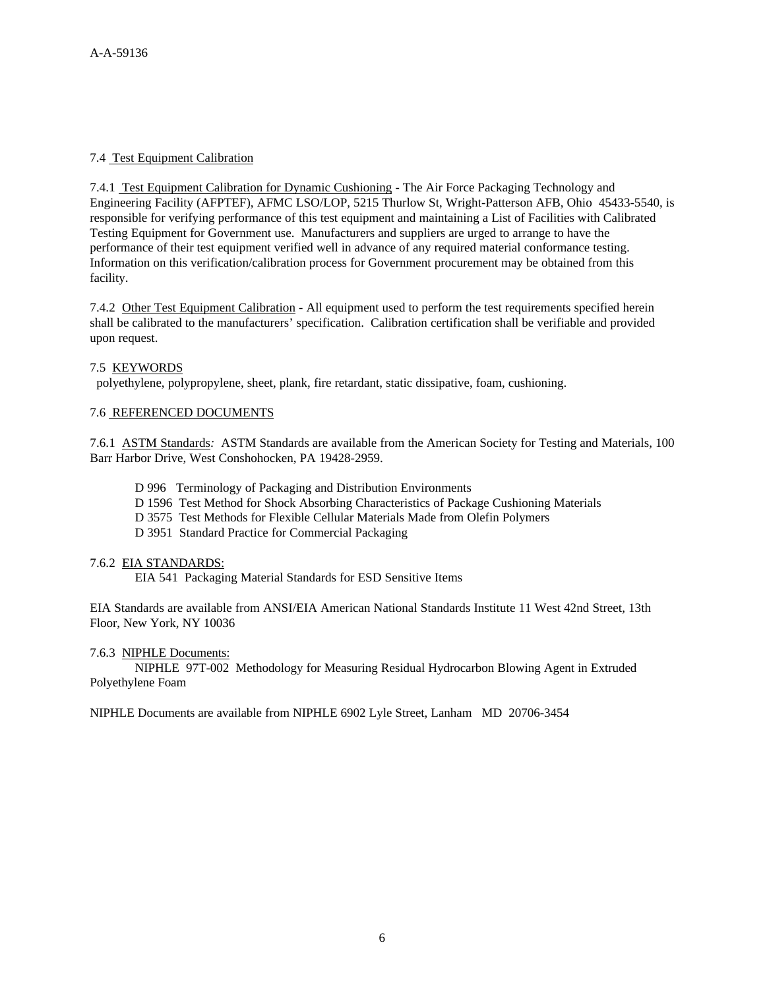## 7.4 Test Equipment Calibration

7.4.1 Test Equipment Calibration for Dynamic Cushioning - The Air Force Packaging Technology and Engineering Facility (AFPTEF), AFMC LSO/LOP, 5215 Thurlow St, Wright-Patterson AFB, Ohio 45433-5540, is responsible for verifying performance of this test equipment and maintaining a List of Facilities with Calibrated Testing Equipment for Government use. Manufacturers and suppliers are urged to arrange to have the performance of their test equipment verified well in advance of any required material conformance testing. Information on this verification/calibration process for Government procurement may be obtained from this facility.

7.4.2 Other Test Equipment Calibration - All equipment used to perform the test requirements specified herein shall be calibrated to the manufacturers' specification. Calibration certification shall be verifiable and provided upon request.

### 7.5 KEYWORDS

polyethylene, polypropylene, sheet, plank, fire retardant, static dissipative, foam, cushioning.

### 7.6 REFERENCED DOCUMENTS

7.6.1 ASTM Standards*:* ASTM Standards are available from the American Society for Testing and Materials, 100 Barr Harbor Drive, West Conshohocken, PA 19428-2959.

- D 996 Terminology of Packaging and Distribution Environments
- D 1596 Test Method for Shock Absorbing Characteristics of Package Cushioning Materials
- D 3575 Test Methods for Flexible Cellular Materials Made from Olefin Polymers
- D 3951 Standard Practice for Commercial Packaging

### 7.6.2 EIA STANDARDS:

EIA 541 Packaging Material Standards for ESD Sensitive Items

EIA Standards are available from ANSI/EIA American National Standards Institute 11 West 42nd Street, 13th Floor, New York, NY 10036

### 7.6.3 NIPHLE Documents:

NIPHLE 97T-002 Methodology for Measuring Residual Hydrocarbon Blowing Agent in Extruded Polyethylene Foam

NIPHLE Documents are available from NIPHLE 6902 Lyle Street, Lanham MD 20706-3454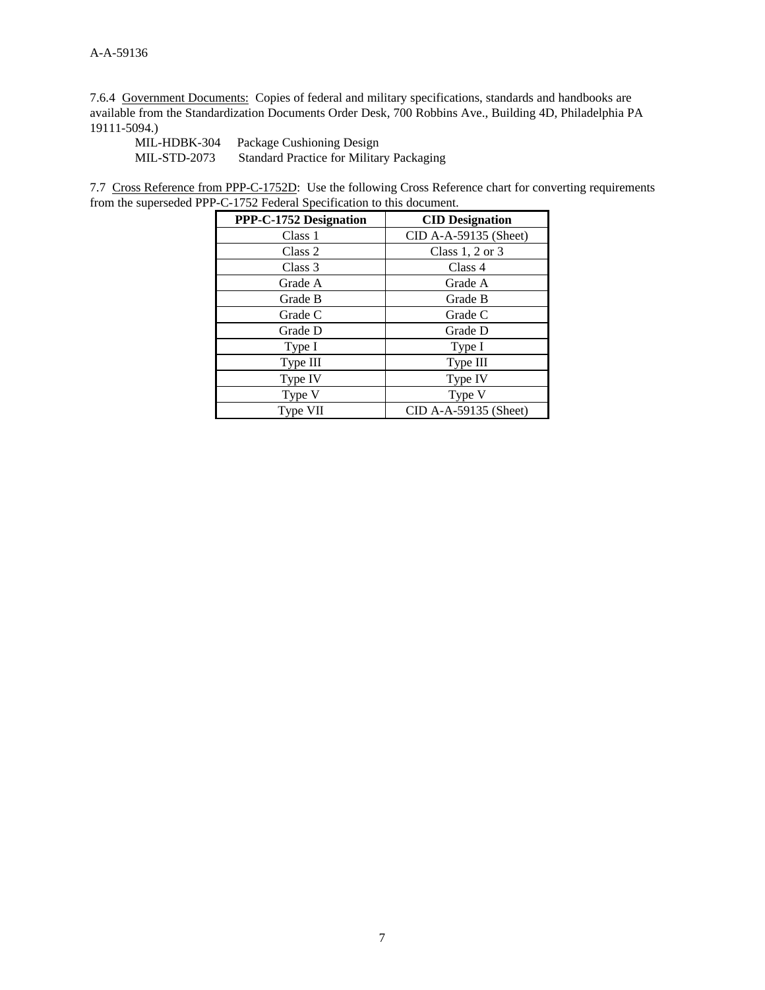7.6.4 Government Documents: Copies of federal and military specifications, standards and handbooks are available from the Standardization Documents Order Desk, 700 Robbins Ave., Building 4D, Philadelphia PA 19111-5094.)

MIL-HDBK-304 Package Cushioning Design MIL-STD-2073 Standard Practice for Military Packaging

7.7 Cross Reference from PPP-C-1752D: Use the following Cross Reference chart for converting requirements from the superseded PPP-C-1752 Federal Specification to this document.

| PPP-C-1752 Designation | <b>CID</b> Designation |
|------------------------|------------------------|
| Class 1                | CID A-A-59135 (Sheet)  |
| Class 2                | Class $1, 2$ or $3$    |
| Class 3                | Class 4                |
| Grade A                | Grade A                |
| Grade B                | Grade B                |
| Grade C                | Grade C                |
| Grade D                | Grade D                |
| Type I                 | Type I                 |
| Type III               | Type III               |
| Type IV                | Type IV                |
| Type V                 | Type V                 |
| Type VII               | CID A-A-59135 (Sheet)  |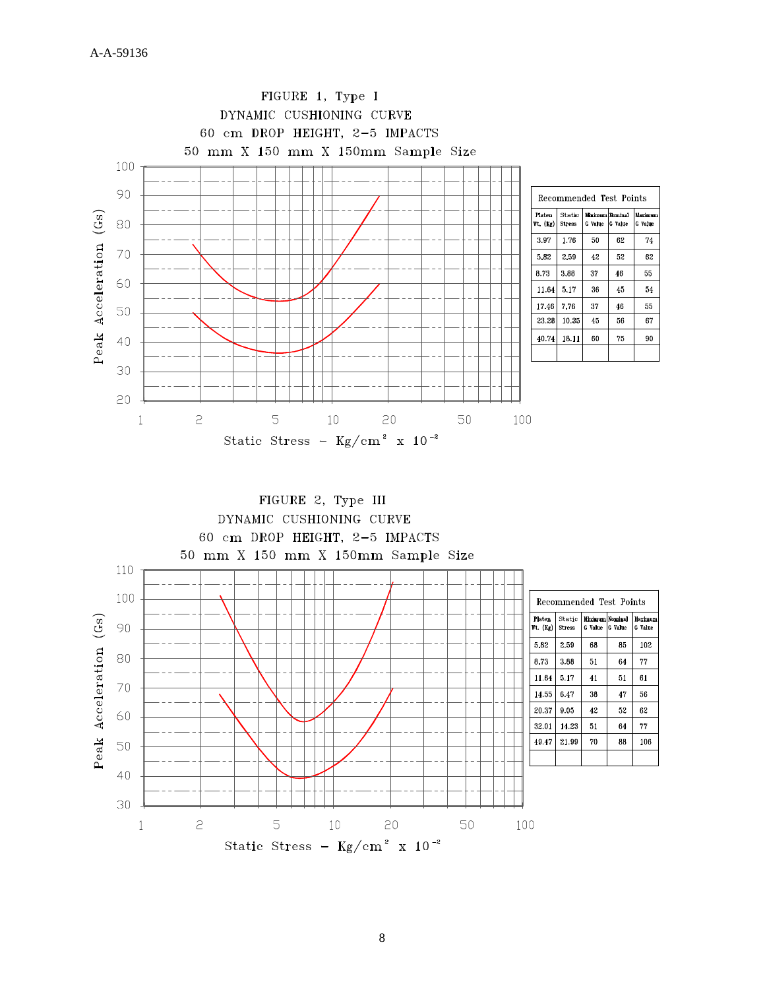

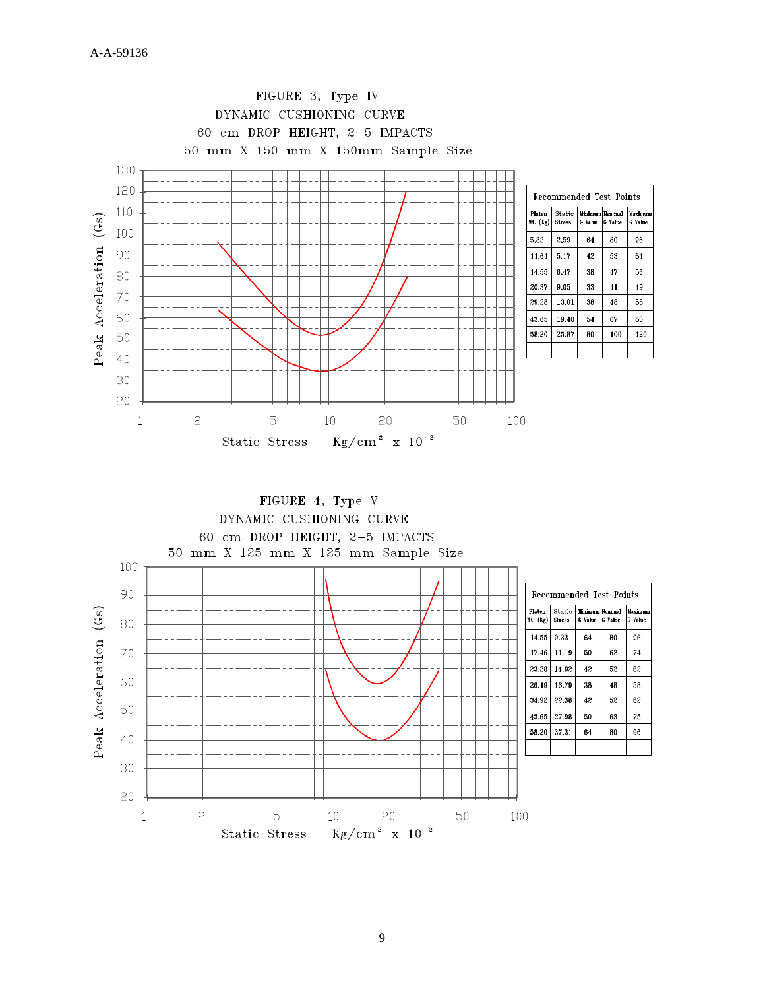